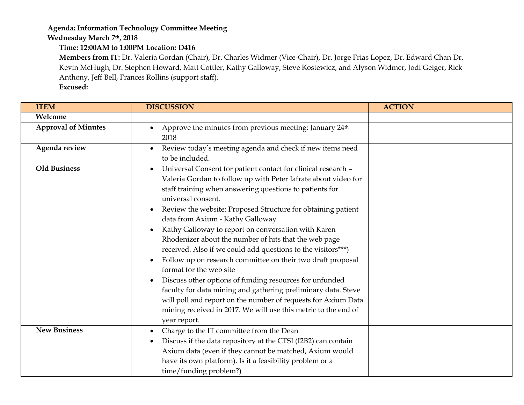## **Agenda: Information Technology Committee Meeting**

**Wednesday March 7th, 2018**

**Time: 12:00AM to 1:00PM Location: D416**

**Members from IT:** Dr. Valeria Gordan (Chair), Dr. Charles Widmer (Vice-Chair), Dr. Jorge Frias Lopez, Dr. Edward Chan Dr. Kevin McHugh, Dr. Stephen Howard, Matt Cottler, Kathy Galloway, Steve Kostewicz, and Alyson Widmer, Jodi Geiger, Rick Anthony, Jeff Bell, Frances Rollins (support staff).

**Excused:**

| <b>ITEM</b>                | <b>DISCUSSION</b>                                                                                                                                                                                                                                                                                                                                                                                                                                                                                                                                                                                                                                                                                                                                                                                                                                                                                       | <b>ACTION</b> |
|----------------------------|---------------------------------------------------------------------------------------------------------------------------------------------------------------------------------------------------------------------------------------------------------------------------------------------------------------------------------------------------------------------------------------------------------------------------------------------------------------------------------------------------------------------------------------------------------------------------------------------------------------------------------------------------------------------------------------------------------------------------------------------------------------------------------------------------------------------------------------------------------------------------------------------------------|---------------|
| Welcome                    |                                                                                                                                                                                                                                                                                                                                                                                                                                                                                                                                                                                                                                                                                                                                                                                                                                                                                                         |               |
| <b>Approval of Minutes</b> | Approve the minutes from previous meeting: January 24 <sup>th</sup><br>$\bullet$<br>2018                                                                                                                                                                                                                                                                                                                                                                                                                                                                                                                                                                                                                                                                                                                                                                                                                |               |
| Agenda review              | Review today's meeting agenda and check if new items need<br>to be included.                                                                                                                                                                                                                                                                                                                                                                                                                                                                                                                                                                                                                                                                                                                                                                                                                            |               |
| <b>Old Business</b>        | Universal Consent for patient contact for clinical research -<br>$\bullet$<br>Valeria Gordan to follow up with Peter Iafrate about video for<br>staff training when answering questions to patients for<br>universal consent.<br>Review the website: Proposed Structure for obtaining patient<br>data from Axium - Kathy Galloway<br>Kathy Galloway to report on conversation with Karen<br>Rhodenizer about the number of hits that the web page<br>received. Also if we could add questions to the visitors***)<br>Follow up on research committee on their two draft proposal<br>format for the web site<br>Discuss other options of funding resources for unfunded<br>$\bullet$<br>faculty for data mining and gathering preliminary data. Steve<br>will poll and report on the number of requests for Axium Data<br>mining received in 2017. We will use this metric to the end of<br>year report. |               |
| <b>New Business</b>        | Charge to the IT committee from the Dean<br>Discuss if the data repository at the CTSI (I2B2) can contain<br>Axium data (even if they cannot be matched, Axium would<br>have its own platform). Is it a feasibility problem or a<br>time/funding problem?)                                                                                                                                                                                                                                                                                                                                                                                                                                                                                                                                                                                                                                              |               |